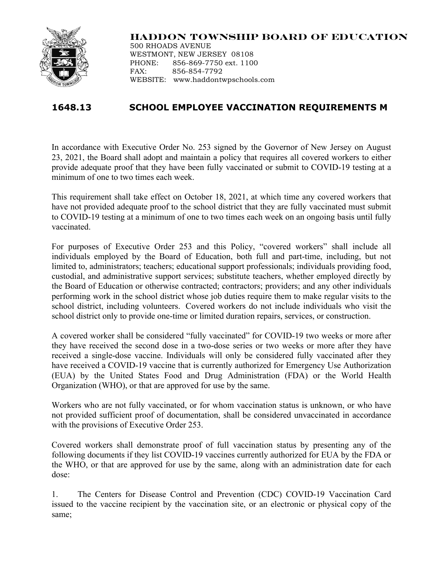

## **HADDON TOWNSHIP BOARD OF EDUCATION**

500 RHOADS AVENUE WESTMONT, NEW JERSEY 08108 PHONE: 856-869-7750 ext. 1100 FAX: 856-854-7792 WEBSITE: www.haddontwpschools.com

## **1648.13 SCHOOL EMPLOYEE VACCINATION REQUIREMENTS M**

In accordance with Executive Order No. 253 signed by the Governor of New Jersey on August 23, 2021, the Board shall adopt and maintain a policy that requires all covered workers to either provide adequate proof that they have been fully vaccinated or submit to COVID-19 testing at a minimum of one to two times each week.

This requirement shall take effect on October 18, 2021, at which time any covered workers that have not provided adequate proof to the school district that they are fully vaccinated must submit to COVID-19 testing at a minimum of one to two times each week on an ongoing basis until fully vaccinated.

For purposes of Executive Order 253 and this Policy, "covered workers" shall include all individuals employed by the Board of Education, both full and part-time, including, but not limited to, administrators; teachers; educational support professionals; individuals providing food, custodial, and administrative support services; substitute teachers, whether employed directly by the Board of Education or otherwise contracted; contractors; providers; and any other individuals performing work in the school district whose job duties require them to make regular visits to the school district, including volunteers. Covered workers do not include individuals who visit the school district only to provide one-time or limited duration repairs, services, or construction.

A covered worker shall be considered "fully vaccinated" for COVID-19 two weeks or more after they have received the second dose in a two-dose series or two weeks or more after they have received a single-dose vaccine. Individuals will only be considered fully vaccinated after they have received a COVID-19 vaccine that is currently authorized for Emergency Use Authorization (EUA) by the United States Food and Drug Administration (FDA) or the World Health Organization (WHO), or that are approved for use by the same.

Workers who are not fully vaccinated, or for whom vaccination status is unknown, or who have not provided sufficient proof of documentation, shall be considered unvaccinated in accordance with the provisions of Executive Order 253.

Covered workers shall demonstrate proof of full vaccination status by presenting any of the following documents if they list COVID-19 vaccines currently authorized for EUA by the FDA or the WHO, or that are approved for use by the same, along with an administration date for each dose:

1. The Centers for Disease Control and Prevention (CDC) COVID-19 Vaccination Card issued to the vaccine recipient by the vaccination site, or an electronic or physical copy of the same;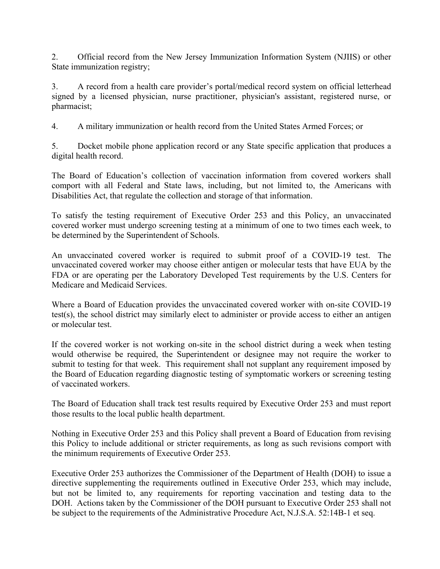2. Official record from the New Jersey Immunization Information System (NJIIS) or other State immunization registry;

3. A record from a health care provider's portal/medical record system on official letterhead signed by a licensed physician, nurse practitioner, physician's assistant, registered nurse, or pharmacist;

4. A military immunization or health record from the United States Armed Forces; or

5. Docket mobile phone application record or any State specific application that produces a digital health record.

The Board of Education's collection of vaccination information from covered workers shall comport with all Federal and State laws, including, but not limited to, the Americans with Disabilities Act, that regulate the collection and storage of that information.

To satisfy the testing requirement of Executive Order 253 and this Policy, an unvaccinated covered worker must undergo screening testing at a minimum of one to two times each week, to be determined by the Superintendent of Schools.

An unvaccinated covered worker is required to submit proof of a COVID-19 test. The unvaccinated covered worker may choose either antigen or molecular tests that have EUA by the FDA or are operating per the Laboratory Developed Test requirements by the U.S. Centers for Medicare and Medicaid Services.

Where a Board of Education provides the unvaccinated covered worker with on-site COVID-19 test(s), the school district may similarly elect to administer or provide access to either an antigen or molecular test.

If the covered worker is not working on-site in the school district during a week when testing would otherwise be required, the Superintendent or designee may not require the worker to submit to testing for that week. This requirement shall not supplant any requirement imposed by the Board of Education regarding diagnostic testing of symptomatic workers or screening testing of vaccinated workers.

The Board of Education shall track test results required by Executive Order 253 and must report those results to the local public health department.

Nothing in Executive Order 253 and this Policy shall prevent a Board of Education from revising this Policy to include additional or stricter requirements, as long as such revisions comport with the minimum requirements of Executive Order 253.

Executive Order 253 authorizes the Commissioner of the Department of Health (DOH) to issue a directive supplementing the requirements outlined in Executive Order 253, which may include, but not be limited to, any requirements for reporting vaccination and testing data to the DOH. Actions taken by the Commissioner of the DOH pursuant to Executive Order 253 shall not be subject to the requirements of the Administrative Procedure Act, N.J.S.A. 52:14B-1 et seq.